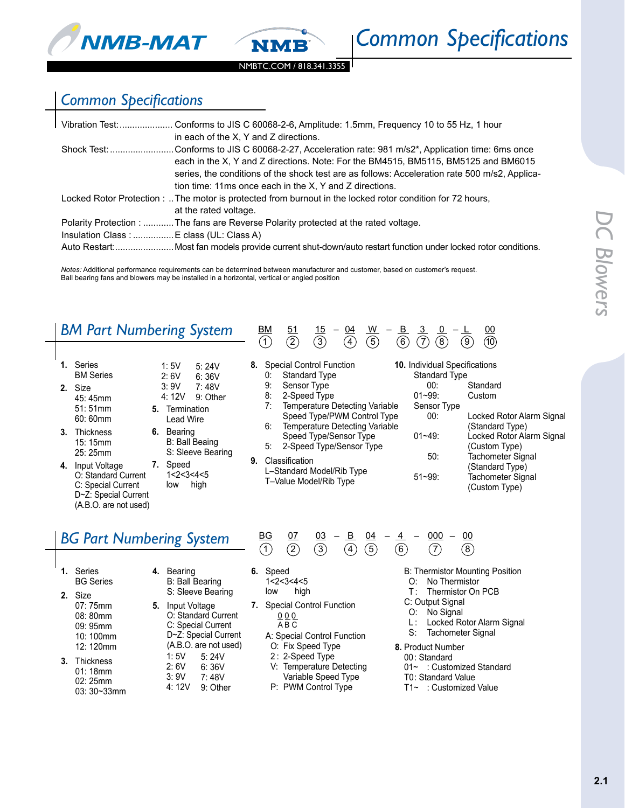



#### NMBTC.COM / 818.341.3355

NMB

# *Common Specifications*

| Vibration Test:                           | Conforms to JIS C 60068-2-6, Amplitude: 1.5mm, Frequency 10 to 55 Hz, 1 hour<br>in each of the X, Y and Z directions.                                                                                                                                                                                                                    |
|-------------------------------------------|------------------------------------------------------------------------------------------------------------------------------------------------------------------------------------------------------------------------------------------------------------------------------------------------------------------------------------------|
| Shock Test:                               | Conforms to JIS C 60068-2-27, Acceleration rate: 981 m/s2*, Application time: 6ms once<br>each in the X, Y and Z directions. Note: For the BM4515, BM5115, BM5125 and BM6015<br>series, the conditions of the shock test are as follows: Acceleration rate 500 m/s2, Applica-<br>tion time: 11ms once each in the X, Y and Z directions. |
|                                           | Locked Rotor Protection :  The motor is protected from burnout in the locked rotor condition for 72 hours,<br>at the rated voltage.                                                                                                                                                                                                      |
|                                           | Polarity Protection :  The fans are Reverse Polarity protected at the rated voltage.                                                                                                                                                                                                                                                     |
| Insulation Class :  E class (UL: Class A) |                                                                                                                                                                                                                                                                                                                                          |
|                                           | Auto Restart:Most fan models provide current shut-down/auto restart function under locked rotor conditions.                                                                                                                                                                                                                              |

*Notes:* Additional performance requirements can be determined between manufacturer and customer, based on customer's request. Ball bearing fans and blowers may be installed in a horizontal, vertical or angled position

|          |                                                                                                                                                       | <b>BM Part Numbering System</b>                                                                         |    | <u>BM</u><br>$\frac{51}{2}$               | $\frac{15}{(3)}$<br><u>04</u><br>$\left( 4\right)$                                                                                                                         | <u>W</u><br>$\overline{5)}$ | $rac{B}{6}$<br>$\frac{3}{7}$<br>′8`                                                               | $\overline{00}$<br>$\circledR$<br>ั9`                                                                                                  |
|----------|-------------------------------------------------------------------------------------------------------------------------------------------------------|---------------------------------------------------------------------------------------------------------|----|-------------------------------------------|----------------------------------------------------------------------------------------------------------------------------------------------------------------------------|-----------------------------|---------------------------------------------------------------------------------------------------|----------------------------------------------------------------------------------------------------------------------------------------|
| 2.       | Series<br><b>BM Series</b><br>Size<br>45: 45mm<br>51:51mm<br>60:60mm                                                                                  | 1:5V<br>5:24V<br>2:6V<br>6:36V<br>3:9V<br>7:48V<br>4:12V<br>9: Other<br>5.<br>Termination<br>Lead Wire  | 8. | 0:<br>9:<br>Sensor Type<br>8:<br>7:<br>6: | Special Control Function<br><b>Standard Type</b><br>2-Speed Type<br>Temperature Detecting Variable<br>Speed Type/PWM Control Type<br><b>Temperature Detecting Variable</b> |                             | 10. Individual Specifications<br><b>Standard Type</b><br>00:<br>$01 - 99$ :<br>Sensor Type<br>00: | Standard<br>Custom<br>Locked Rotor Alarm Signal<br>(Standard Type)                                                                     |
| 3.<br>4. | <b>Thickness</b><br>15:15mm<br>25:25mm<br>Input Voltage<br>O: Standard Current<br>C: Special Current<br>D~Z: Special Current<br>(A.B.O. are not used) | Bearing<br>6.<br>B: Ball Beaing<br>S: Sleeve Bearing<br>Speed<br>7.<br>1 < 2 < 3 < 4 < 5<br>high<br>low | 9. | Classification                            | Speed Type/Sensor Type<br>2-Speed Type/Sensor Type<br>L-Standard Model/Rib Type<br>T-Value Model/Rib Type                                                                  |                             | $01 - 49$ :<br>50:<br>$51 - 99$ :                                                                 | Locked Rotor Alarm Signal<br>(Custom Type)<br><b>Tachometer Signal</b><br>(Standard Type)<br><b>Tachometer Signal</b><br>(Custom Type) |

# **BG Part Numbering System** <br> **BG**  $\frac{07}{2}$   $\frac{03}{3}$   $\frac{-B}{4}$   $\frac{04}{5}$   $\frac{-4}{6}$   $\frac{-000}{2}$   $\frac{-00}{8}$

| Series           |
|------------------|
| <b>BG Series</b> |

- **2.** Size 07: 75mm 08: 80mm 09: 95mm 10: 100mm 12: 120mm
- **3.** Thickness 01: 18mm 02: 25mm 03: 30~33mm
- **4.** Bearing B: Ball Bearing S: Sleeve Bearing
- **5.** Input Voltage O: Standard Current C: Special Current D~Z: Special Current (A.B.O. are not used) 1: 5V 2: 6V 3: 9V 5: 24V 6: 36V 7: 48V

4: 12V 9: Other

- **6.** Speed 1<2<3<4<5 low high
- **7.** Special Control Function 0 0 0

 $\overline{AB}\,\overline{C}$ 

- A: Special Control Function
- O: Fix Speed Type
- 2 : 2-Speed Type
- V: Temperature Detecting
- Variable Speed Type
- P: PWM Control Type
- B: Thermistor Mounting Position
- O: No Thermistor
- T: Thermistor On PCB
- C: Output Signal
- O: No Signal

 $-\frac{4}{6}$  -

- L: Locked Rotor Alarm Signal
- S: Tachometer Signal
- **8.** Product Number
	- 00: Standard
	- 01~ : Customized Standard
	- T0: Standard Value
	- T1~ : Customized Value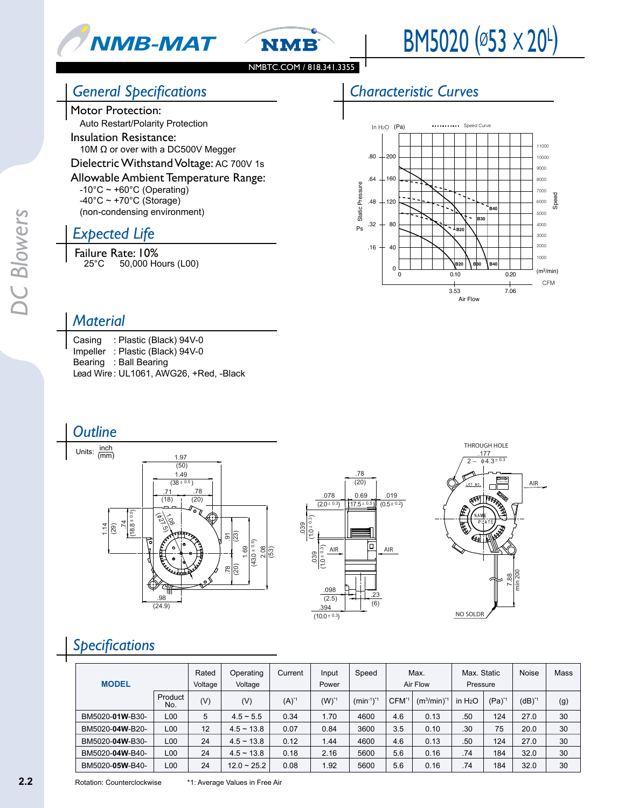



# BM5020 (Ø53 × 20<sup>L</sup>)

#### NMBTC.COM / 818.341.3355

# *General Specifications*

Motor Protection: Auto Restart/Polarity Protection

Insulation Resistance: 10M Ω or over with a DC500V Megger Dielectric Withstand Voltage: AC 700V 1s

#### Allowable Ambient Temperature Range:  $-10^{\circ}$ C ~ +60°C (Operating)

-40°C ~ +70°C (Storage) (non-condensing environment)

## *Expected Life*

**Failure Rate: 10%**<br>25°C 50,000 Ho 50,000 Hours (L00)

### *Material*

| : Plastic (Black) 94V-0                |
|----------------------------------------|
| : Plastic (Black) 94V-0                |
| Bearing : Ball Bearing                 |
| Lead Wire: UL1061, AWG26, +Red, -Black |
|                                        |

 $(24.9)$ 

.98

#### *Outline* Units:  $\frac{\text{inch}}{\text{(mm)}}$ (20) (18) (20)  $(38<sup>1</sup>)$ 1.49 .78  $(50)$ <br>1.49 1.97 78 .23 0.078 0.69 0.019  $(2.0 \pm 0.3)$   $(17.5 \pm 0.5)$   $(0.5 \pm 0.2)$ .098  $(17.5 \pm 0.5)$  $(1.0 \pm 0.3)$  $1.0 \pm 0.3$ .039 .039 7.88  $AIR$   $\Box$   $AIR$ min 20 THROUGH HOLE .177  $2 - \phi 4.3$  $|8.8 \pm 0.5$  $^{74}$ 1.14 .<br>ন .<br>. 1.69  $\begin{array}{r} (43.0} {\tiny \begin{array}{l} \pm \ 0.5 \end{array}} ) \ \hline (53) \ \hline (53) \end{array}$ (23) (20) ( 27.5) )<br>१९०

# *Specifications*

| <b>MODEL</b>    |                  | Rated<br>Voltage | Operating<br>Voltage | Current | Input<br>Power | Speed          |                   | Max.<br>Air Flow | Max. Static<br>Pressure |                     | Noise      | Mass |
|-----------------|------------------|------------------|----------------------|---------|----------------|----------------|-------------------|------------------|-------------------------|---------------------|------------|------|
|                 | Product<br>No.   | (V)              | (V)                  | $(A)^*$ | $(W)^*$        | $(min^{-1})^*$ | CFM <sup>*1</sup> | $(m^3/min)^{1}$  | in $H2O$                | $(Pa)$ <sup>*</sup> | $(dB)^{1}$ | (g)  |
| BM5020-01W-B30- | L00              | 5                | $4.5 \sim 5.5$       | 0.34    | 1.70           | 4600           | 4.6               | 0.13             | .50                     | 124                 | 27.0       | 30   |
| BM5020-04W-B20- | L00              | 12               | $4.5 \sim 13.8$      | 0.07    | 0.84           | 3600           | 3.5               | 0.10             | .30                     | 75                  | 20.0       | 30   |
| BM5020-04W-B30- | L <sub>0</sub> 0 | 24               | $4.5 \sim 13.8$      | 0.12    | 1.44           | 4600           | 4.6               | 0.13             | .50                     | 124                 | 27.0       | 30   |
| BM5020-04W-B40- | LOO              | 24               | $4.5 \sim 13.8$      | 0.18    | 2.16           | 5600           | 5.6               | 0.16             | .74                     | 184                 | 32.0       | 30   |
| BM5020-05W-B40- | L00              | 24               | $12.0 \sim 25.2$     | 0.08    | 1.92           | 5600           | 5.6               | 0.16             | .74                     | 184                 | 32.0       | 30   |

 $(2.5)$ 

.394  $(10.0 \pm 0.3)$  (6)

# *Characteristic Curves*



AIR

NO SOLDR

**2.2**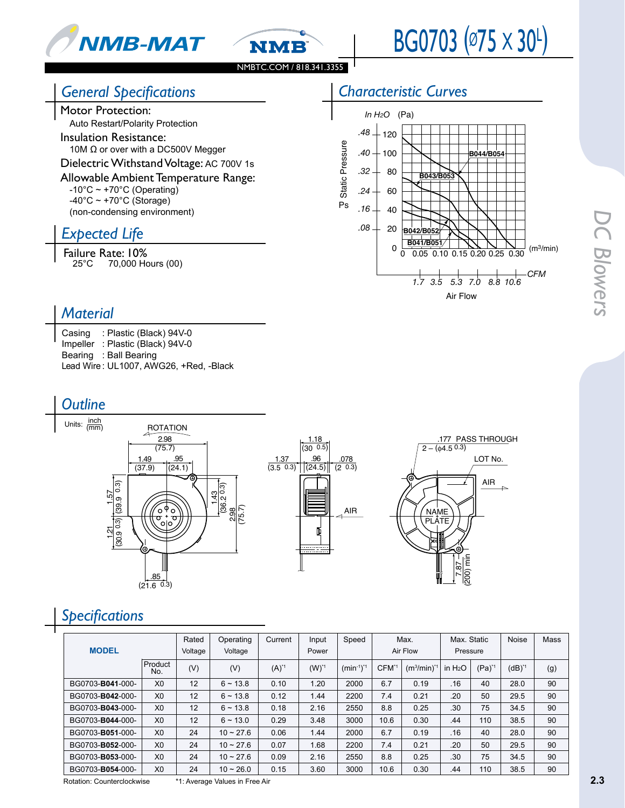



# BG0703 (Ø75 X 30<sup>L</sup>)

# *General Specifications*

#### Motor Protection:

Auto Restart/Polarity Protection Insulation Resistance: 10M Ω or over with a DC500V Megger

Dielectric Withstand Voltage: AC 700V 1s

#### Allowable Ambient Temperature Range:  $-10^{\circ}$ C ~ +70 $^{\circ}$ C (Operating)  $-40^{\circ}$ C ~ +70 $^{\circ}$ C (Storage)

(non-condensing environment)  $16 + 40$ 

# *Expected Life*

**Failure Rate: 10%**<br>25°C 70,000 Ho 70,000 Hours (00)

# *Characteristic Curves*



### *Material*

Casing : Plastic (Black) 94V-0 Impeller : Plastic (Black) 94V-0 Bearing : Ball Bearing Lead Wire : UL1007, AWG26, +Red, -Black



# *Specifications*

| <b>MODEL</b>     |                | Rated<br>Voltage | Operating<br>Voltage | Current    | Input<br>Power | Speed          |                   | Max.<br>Air Flow           | Max. Static<br>Pressure |                    | Noise       | Mass |
|------------------|----------------|------------------|----------------------|------------|----------------|----------------|-------------------|----------------------------|-------------------------|--------------------|-------------|------|
|                  |                |                  |                      |            |                |                |                   |                            |                         |                    |             |      |
|                  | Product<br>No. | (V)              | (V)                  | $(A)^{*1}$ | (W)*1          | $(min^{-1})^*$ | CFM <sup>*1</sup> | $(m^3/min)^*$ <sup>1</sup> | in $H2O$                | (Pa) <sup>*1</sup> | $(dB)^{*1}$ | (g)  |
| BG0703-B041-000- | X <sub>0</sub> | 12               | $6 - 13.8$           | 0.10       | 1.20           | 2000           | 6.7               | 0.19                       | .16                     | 40                 | 28.0        | 90   |
| BG0703-B042-000- | X <sub>0</sub> | 12               | $6 - 13.8$           | 0.12       | 1.44           | 2200           | 7.4               | 0.21                       | .20                     | 50                 | 29.5        | 90   |
| BG0703-B043-000- | X <sub>0</sub> | 12               | $6 - 13.8$           | 0.18       | 2.16           | 2550           | 8.8               | 0.25                       | .30 <sub>0</sub>        | 75                 | 34.5        | 90   |
| BG0703-B044-000- | X <sub>0</sub> | 12               | $6 - 13.0$           | 0.29       | 3.48           | 3000           | 10.6              | 0.30                       | .44                     | 110                | 38.5        | 90   |
| BG0703-B051-000- | X <sub>0</sub> | 24               | $10 \sim 27.6$       | 0.06       | 1.44           | 2000           | 6.7               | 0.19                       | .16                     | 40                 | 28.0        | 90   |
| BG0703-B052-000- | X <sub>0</sub> | 24               | $10 \sim 27.6$       | 0.07       | 1.68           | 2200           | 7.4               | 0.21                       | .20                     | 50                 | 29.5        | 90   |
| BG0703-B053-000- | X <sub>0</sub> | 24               | $10 - 27.6$          | 0.09       | 2.16           | 2550           | 8.8               | 0.25                       | .30 <sub>0</sub>        | 75                 | 34.5        | 90   |
| BG0703-B054-000- | X <sub>0</sub> | 24               | $10 - 26.0$          | 0.15       | 3.60           | 3000           | 10.6              | 0.30                       | .44                     | 110                | 38.5        | 90   |

Rotation: Counterclockwise \*1: Average Values in Free Air

*DC Blowers*

DC Blowers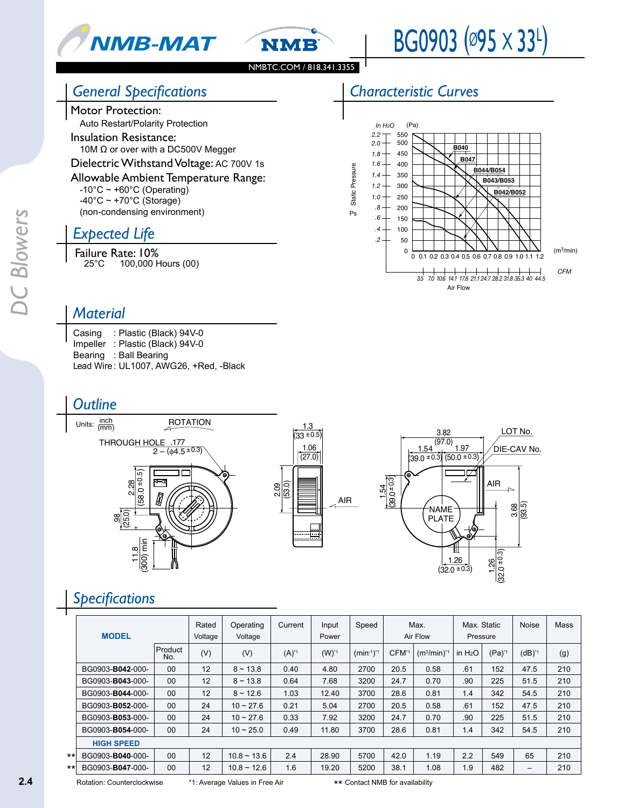



NMBTC.COM / 818.341.3355

# BG0903 (095 × 33<sup>L</sup>)

**B040** 

**B047** 

0 0.1 0.2 0.3 0.4 0.5 0.6 0.7 0.8 0.9 1.0 1.1

Air Flow

B044/B054

B043/B053

B042/B052

 $(m<sup>3</sup>/min)$ 

**CFM** 

 $12$ 

**Characteristic Curves** 

 $(Pa)$ 

550

500

450

400

350

300

250

200

150

100

50

 $\pmb{0}$ 

 $In H<sub>2</sub>O$ 

 $2.2$ 

 $2.0$ 

 $1.8$ 

 $1.6\,$ 

 $1.4\,$ 

 $1.2$ 

 $1.0\,$ 

 $\boldsymbol{.8}$ 

 ${\bf .6}$ 

 $.4 -$ 

 $.2\,$ 

Static Pressure

Ps

# **General Specifications**

Motor Protection: Auto Restart/Polarity Protection

**Insulation Resistance:** 10M  $\Omega$  or over with a DC500V Megger Dielectric Withstand Voltage: AC 700V 1s

# Allowable Ambient Temperature Range:

-10°C ~ +60°C (Operating) -40°C ~ +70°C (Storage) (non-condensing environment)

## **Expected Life**

Failure Rate: 10%  $25^{\circ}$ C 100,000 Hours (00)

### **Material**

| Casing   | : Plastic (Black) 94V-0                |
|----------|----------------------------------------|
| Impeller | : Plastic (Black) 94V-0                |
|          | Bearing : Ball Bearing                 |
|          | Lead Wire: UL1007, AWG26, +Red, -Black |

### **Outline**



# **Specifications**

| <b>MODEL</b>                    |                | Rated<br>Voltage | Operating<br>Voltage | Current   | Input<br>Power | Speed          |                   | Max.<br>Air Flow | Max. Static<br>Pressure |          | Noise      | Mass |
|---------------------------------|----------------|------------------|----------------------|-----------|----------------|----------------|-------------------|------------------|-------------------------|----------|------------|------|
|                                 | Product<br>No. | (V)              | (V)                  | $(A)^{1}$ | $(W)^*$        | $(min^{-1})^*$ | CFM <sup>*1</sup> | $(m^3/min)^{1}$  | in $H2O$                | $(Pa)^*$ | $(dB)^{1}$ | (g)  |
| BG0903- <b>B042</b> -000-       | $00 \,$        | 12               | $8 \sim 13.8$        | 0.40      | 4.80           | 2700           | 20.5              | 0.58             | .61                     | 152      | 47.5       | 210  |
| BG0903- <b>B043</b> -000-       | 00             | 12               | $8 - 13.8$           | 0.64      | 7.68           | 3200           | 24.7              | 0.70             | .90                     | 225      | 51.5       | 210  |
| BG0903- <b>B044</b> -000-       | $00 \,$        | 12               | $8 - 12.6$           | 1.03      | 12.40          | 3700           | 28.6              | 0.81             | 1.4                     | 342      | 54.5       | 210  |
| BG0903- <b>B052</b> -000-       | $00 \,$        | 24               | $10 \sim 27.6$       | 0.21      | 5.04           | 2700           | 20.5              | 0.58             | .61                     | 152      | 47.5       | 210  |
| BG0903- <b>B053</b> -000-       | $00 \,$        | 24               | $10 \sim 27.6$       | 0.33      | 7.92           | 3200           | 24.7              | 0.70             | .90                     | 225      | 51.5       | 210  |
| BG0903- <b>B054</b> -000-       | 00             | 24               | $10 \sim 25.0$       | 0.49      | 11.80          | 3700           | 28.6              | 0.81             | 1.4                     | 342      | 54.5       | 210  |
| <b>HIGH SPEED</b>               |                |                  |                      |           |                |                |                   |                  |                         |          |            |      |
| BG0903- <b>B040</b> -000-<br>r∗ | 00             | 12               | $10.8 \sim 13.6$     | 2.4       | 28.90          | 5700           | 42.0              | 1.19             | 2.2                     | 549      | 65         | 210  |
| BG0903- <b>B047</b> -000-<br>٠÷ | 00             | 12               | $10.8 \sim 12.6$     | 1.6       | 19.20          | 5200           | 38.1              | 1.08             | 1.9                     | 482      | -          | 210  |

Rotation: Counterclockwise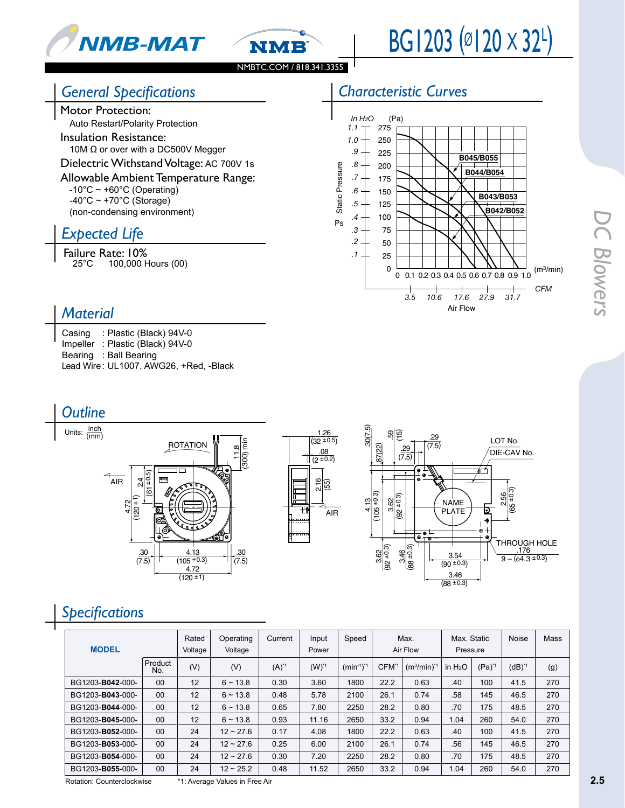



# BG1203 (Ø120 × 32<sup>L</sup>)

**B044/B054 B045/B055**

> **B043/B053 B042/B052**

*Characteristic Curves*

(Pa)

125 150 175

Static Pressure

Static Pressure

*° £°ä*

> *°Ç °n*

*°È*

*°x*

*°{*

*°Ó °£*

*°Î*

 $1.1 - 275$ 

*In H<sub>2</sub>O* 

Ps

200 225 250

# *General Specifications*

Motor Protection:

Auto Restart/Polarity Protection Insulation Resistance: 10M Ω or over with a DC500V Megger

Dielectric Withstand Voltage: AC 700V 1s

Allowable Ambient Temperature Range:  $-10^{\circ}$ C ~ +60°C (Operating)  $-40^{\circ}$ C ~ +70 $^{\circ}$ C (Storage)

(non-condensing environment)

# *Expected Life*

**Failure Rate: 10%**<br>100,000 P 25°C 100,000 Hours (00)

### *Material*

| Casing   | : Plastic (Black) 94V-0                |
|----------|----------------------------------------|
| Impeller | : Plastic (Black) 94V-0                |
|          | Bearing : Ball Bearing                 |
|          | Lead Wire: UL1007, AWG26, +Red, -Black |

*Outline* Units:  $\frac{\text{inch}}{\text{(mm)}}$ 







0 0.1 0.2 0.3 0.4 0.5 0.6 0.7 0.8 0.9 1.0

Air Flow

*ΰx £ä°È £Ç°È  Σ°Ç*

# *Specifications*

| <b>MODEL</b>              |                | Rated<br>Voltage | Operating<br>Voltage | Current | Input<br>Power | Speed          |                   | Max.<br>Air Flow | Max. Static<br>Pressure |          | Noise    | Mass |
|---------------------------|----------------|------------------|----------------------|---------|----------------|----------------|-------------------|------------------|-------------------------|----------|----------|------|
|                           | Product<br>No. | (V)              | (V)                  | $(A)^*$ | $(W)^*$        | $(min^{-1})^*$ | CFM <sup>*1</sup> | $(m3/min)*$      | in $H2O$                | $(Pa)^1$ | $(dB)^*$ | (g)  |
| BG1203-B042-000-          | 00             | 12               | $6 - 13.8$           | 0.30    | 3.60           | 1800           | 22.2              | 0.63             | .40                     | 100      | 41.5     | 270  |
| BG1203-B043-000-          | 00             | 12               | $6 - 13.8$           | 0.48    | 5.78           | 2100           | 26.1              | 0.74             | .58                     | 145      | 46.5     | 270  |
| BG1203- <b>B044</b> -000- | 00             | 12               | $6 - 13.8$           | 0.65    | 7.80           | 2250           | 28.2              | 0.80             | .70                     | 175      | 48.5     | 270  |
| BG1203- <b>B045</b> -000- | $00 \,$        | 12               | $6 - 13.8$           | 0.93    | 11.16          | 2650           | 33.2              | 0.94             | 1.04                    | 260      | 54.0     | 270  |
| BG1203-B052-000-          | 00             | 24               | $12 \sim 27.6$       | 0.17    | 4.08           | 1800           | 22.2              | 0.63             | .40                     | 100      | 41.5     | 270  |
| BG1203- <b>B053</b> -000- | 00             | 24               | $12 \sim 27.6$       | 0.25    | 6.00           | 2100           | 26.1              | 0.74             | .56                     | 145      | 46.5     | 270  |
| BG1203- <b>B054</b> -000- | 00             | 24               | $12 \sim 27.6$       | 0.30    | 7.20           | 2250           | 28.2              | 0.80             | .70                     | 175      | 48.5     | 270  |
| BG1203- <b>B055</b> -000- | 00             | 24               | $12 \sim 25.2$       | 0.48    | 11.52          | 2650           | 33.2              | 0.94             | 1.04                    | 260      | 54.0     | 270  |

Rotation: Counterclockwise \*1: Average Values in Free Air